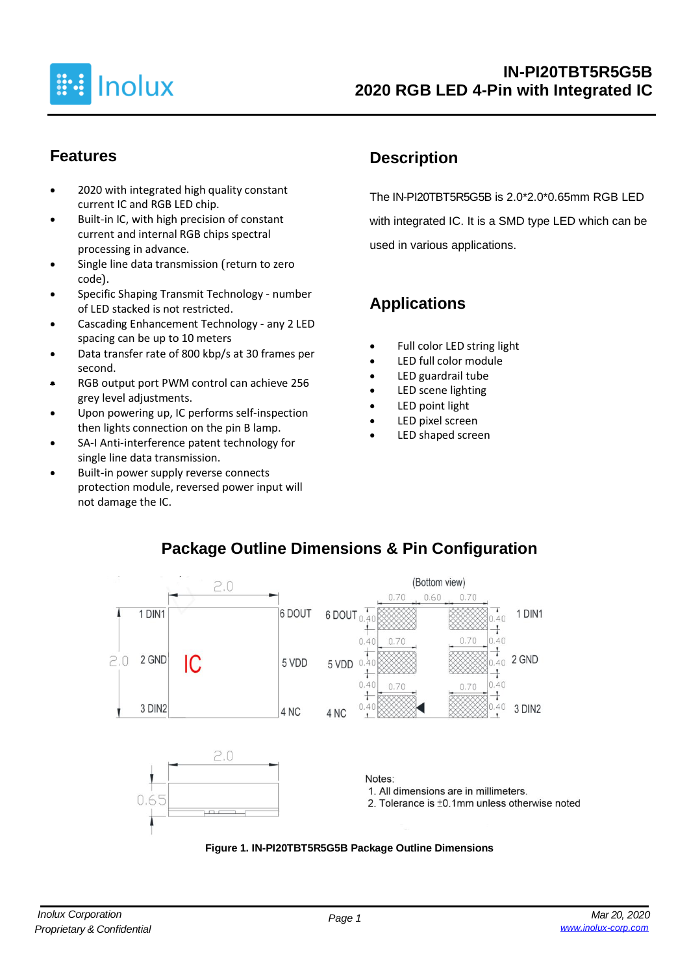

#### **Features**

- 2020 with integrated high quality constant current IC and RGB LED chip.
- Built-in IC, with high precision of constant current and internal RGB chips spectral processing in advance.
- Single line data transmission (return to zero code).
- Specific Shaping Transmit Technology number of LED stacked is not restricted.
- Cascading Enhancement Technology any 2 LED spacing can be up to 10 meters
- Data transfer rate of 800 kbp/s at 30 frames per second.
- RGB output port PWM control can achieve 256 grey level adjustments.
- Upon powering up, IC performs self-inspection then lights connection on the pin B lamp.
- SA-I Anti-interference patent technology for single line data transmission.
- Built-in power supply reverse connects protection module, reversed power input will not damage the IC.

# **Description**

The IN-PI20TBT5R5G5B is 2.0\*2.0\*0.65mm RGB LED with integrated IC. It is a SMD type LED which can be used in various applications.

# **Applications**

- Full color LED string light
- LED full color module
- LED guardrail tube
- LED scene lighting
- LED point light
- LED pixel screen
- LED shaped screen



#### **Package Outline Dimensions & Pin Configuration**

**Figure 1. IN-PI20TBT5R5G5B Package Outline Dimensions**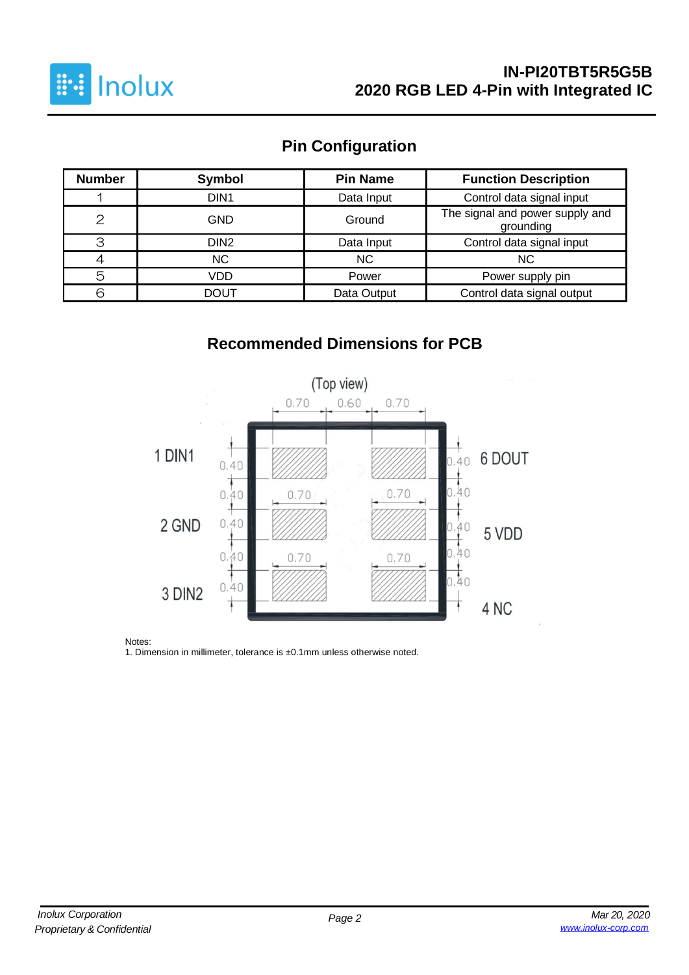

#### **IN-PI20TBT5R5G5B 2020 RGB LED 4-Pin with Integrated IC**

# **Pin Configuration**

| <b>Number</b> | Symbol           | <b>Pin Name</b> | <b>Function Description</b>                  |
|---------------|------------------|-----------------|----------------------------------------------|
|               | DIN <sub>1</sub> | Data Input      | Control data signal input                    |
| $\mathcal{P}$ | <b>GND</b>       | Ground          | The signal and power supply and<br>grounding |
| З             | DIN <sub>2</sub> | Data Input      | Control data signal input                    |
|               | <b>NC</b>        | <b>NC</b>       | <b>NC</b>                                    |
| 5             | VDD              | Power           | Power supply pin                             |
| ട             | <b>DOUT</b>      | Data Output     | Control data signal output                   |

# **Recommended Dimensions for PCB**



Notes:

1. Dimension in millimeter, tolerance is ±0.1mm unless otherwise noted.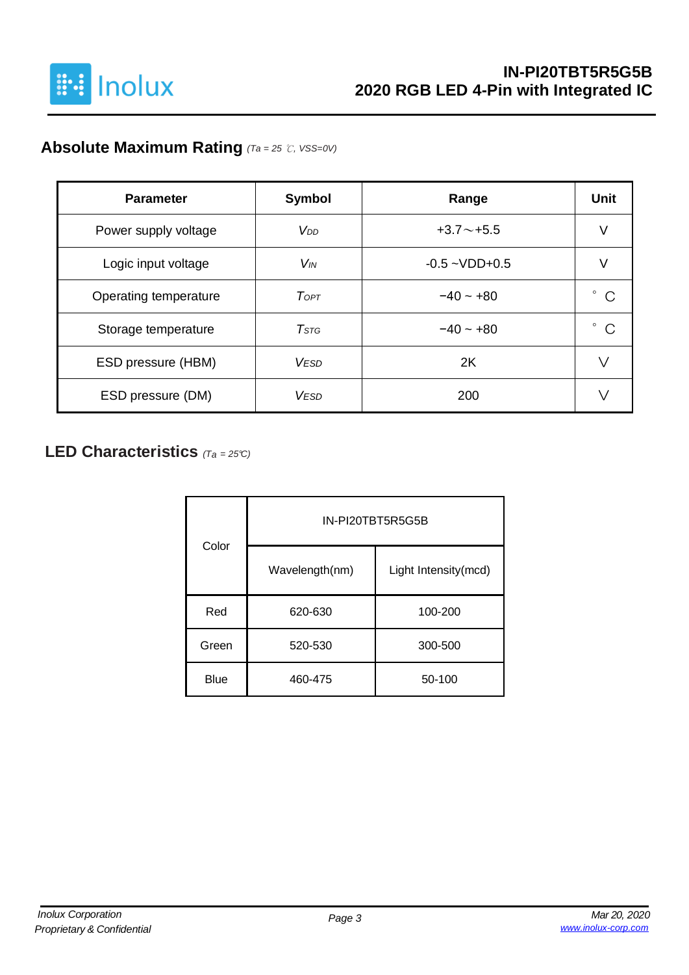

# **Absolute Maximum Rating** *(Ta = 25* ℃*, VSS=0V)*

| <b>Parameter</b>      | <b>Symbol</b>          | Range              | <b>Unit</b> |
|-----------------------|------------------------|--------------------|-------------|
| Power supply voltage  | V <sub>DD</sub>        | $+3.7 \sim +5.5$   | V           |
| Logic input voltage   | $V_{IN}$               | $-0.5 - VDD + 0.5$ |             |
| Operating temperature | ToPT                   | $-40 - 0.0$        | C           |
| Storage temperature   | T <sub>STG</sub>       | $-40 - +80$        | ٥<br>C      |
| ESD pressure (HBM)    | <b>VESD</b>            | 2K                 | ∨           |
| ESD pressure (DM)     | <b>V<sub>FSD</sub></b> | 200                |             |

#### **LED Characteristics** *(Ta <sup>=</sup> 25°C)*

| Color       | IN-PI20TBT5R5G5B |                      |  |  |  |  |
|-------------|------------------|----------------------|--|--|--|--|
|             | Wavelength(nm)   | Light Intensity(mcd) |  |  |  |  |
| Red         | 620-630          | 100-200              |  |  |  |  |
| Green       | 520-530          | 300-500              |  |  |  |  |
| <b>Blue</b> | 460-475          | 50-100               |  |  |  |  |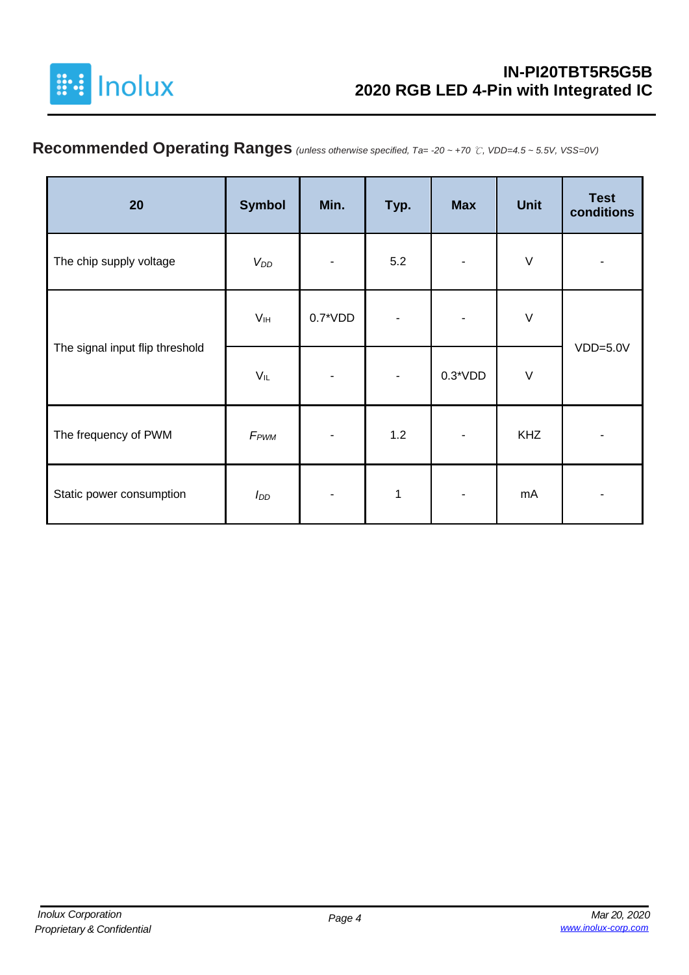

# **Recommended Operating Ranges** *(unless otherwise specified, Ta= -20 ~ +70* ℃*, VDD=4.5 ~ 5.5V, VSS=0V)*

| 20                              | <b>Symbol</b>    | Min.       | Typ. | <b>Max</b> | <b>Unit</b> | <b>Test</b><br>conditions |
|---------------------------------|------------------|------------|------|------------|-------------|---------------------------|
| The chip supply voltage         | $V_{DD}$         |            | 5.2  |            | $\sf V$     |                           |
|                                 | V <sub>IH</sub>  | $0.7^*VDD$ |      |            | $\sf V$     |                           |
| The signal input flip threshold | $V_{IL}$         |            |      | $0.3*VDD$  | $\vee$      | $VDD=5.0V$                |
| The frequency of PWM            | F <sub>PWM</sub> |            | 1.2  | ۰          | <b>KHZ</b>  |                           |
| Static power consumption        | I <sub>DD</sub>  |            | 1    |            | mA          |                           |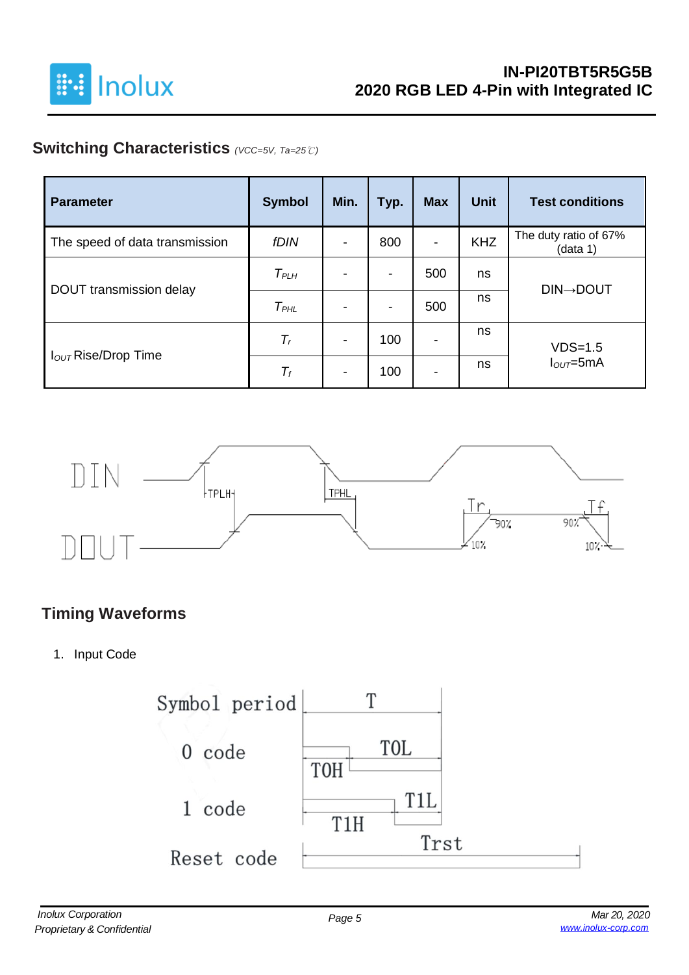

# **Switching Characteristics** *(VCC=5V, Ta=25*℃*)*

| <b>Parameter</b>                | <b>Symbol</b>    | Min.                     | Typ.                     | <b>Max</b>               | <b>Unit</b> | <b>Test conditions</b>            |
|---------------------------------|------------------|--------------------------|--------------------------|--------------------------|-------------|-----------------------------------|
| The speed of data transmission  | fDIN             | $\overline{\phantom{a}}$ | 800                      | $\overline{\phantom{a}}$ | <b>KHZ</b>  | The duty ratio of 67%<br>(data 1) |
|                                 | $T_{PLH}$        | $\blacksquare$           | -                        | 500                      | ns          | <b>DIN→DOUT</b>                   |
| DOUT transmission delay         | T <sub>PHL</sub> | $\overline{\phantom{a}}$ | $\overline{\phantom{a}}$ | 500                      | ns          |                                   |
|                                 | $T_r$            | $\overline{\phantom{a}}$ | 100                      | $\overline{\phantom{0}}$ | ns          | $VDS=1.5$                         |
| I <sub>OUT</sub> Rise/Drop Time | $T_f$            | $\blacksquare$           | 100                      | -                        | ns          | $IOUT=5mA$                        |



## **Timing Waveforms**

1. Input Code

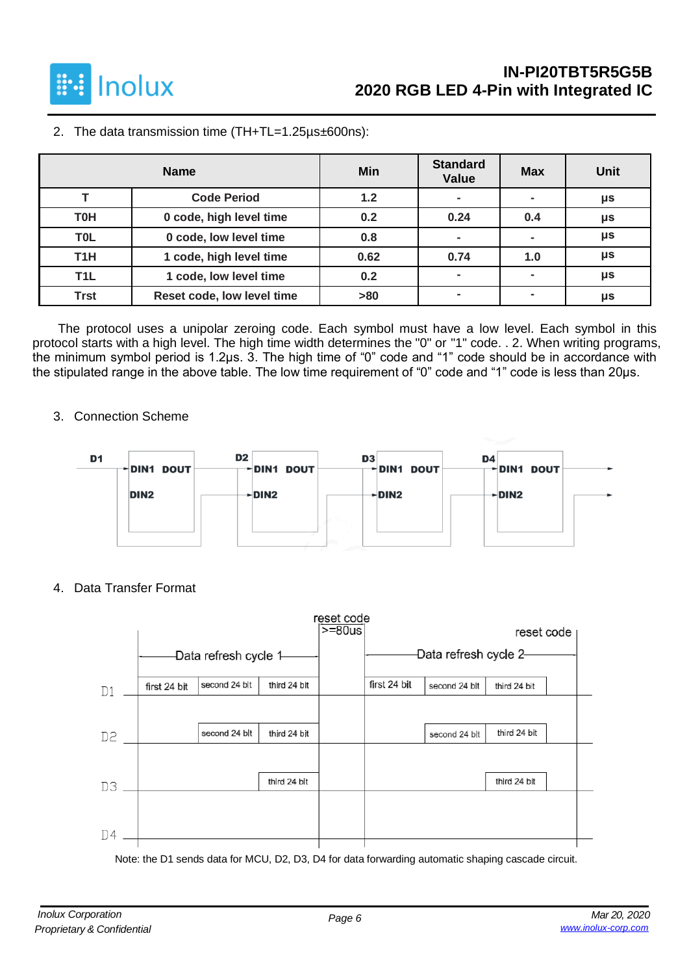

2. The data transmission time (TH+TL=1.25µs±600ns):

|                  | <b>Name</b>                | Min  | <b>Standard</b><br><b>Value</b> | <b>Max</b>     | <b>Unit</b> |
|------------------|----------------------------|------|---------------------------------|----------------|-------------|
|                  | <b>Code Period</b>         | 1.2  | $\overline{\phantom{0}}$        |                | μs          |
| <b>T0H</b>       | 0 code, high level time    | 0.2  | 0.24                            | 0.4            | μs          |
| <b>TOL</b>       | 0 code, low level time     | 0.8  | $\blacksquare$                  |                | μs          |
| T <sub>1</sub> H | 1 code, high level time    | 0.62 | 0.74                            | 1.0            | μs          |
| T <sub>1</sub> L | 1 code, low level time     | 0.2  | $\overline{\phantom{0}}$        | $\blacksquare$ | μs          |
| <b>Trst</b>      | Reset code, low level time | >80  |                                 |                | μs          |

The protocol uses a unipolar zeroing code. Each symbol must have a low level. Each symbol in this protocol starts with a high level. The high time width determines the "0" or "1" code. . 2. When writing programs, the minimum symbol period is 1.2μs. 3. The high time of "0" code and "1" code should be in accordance with the stipulated range in the above table. The low time requirement of "0" code and "1" code is less than 20μs.

3. Connection Scheme



4. Data Transfer Format



Note: the D1 sends data for MCU, D2, D3, D4 for data forwarding automatic shaping cascade circuit.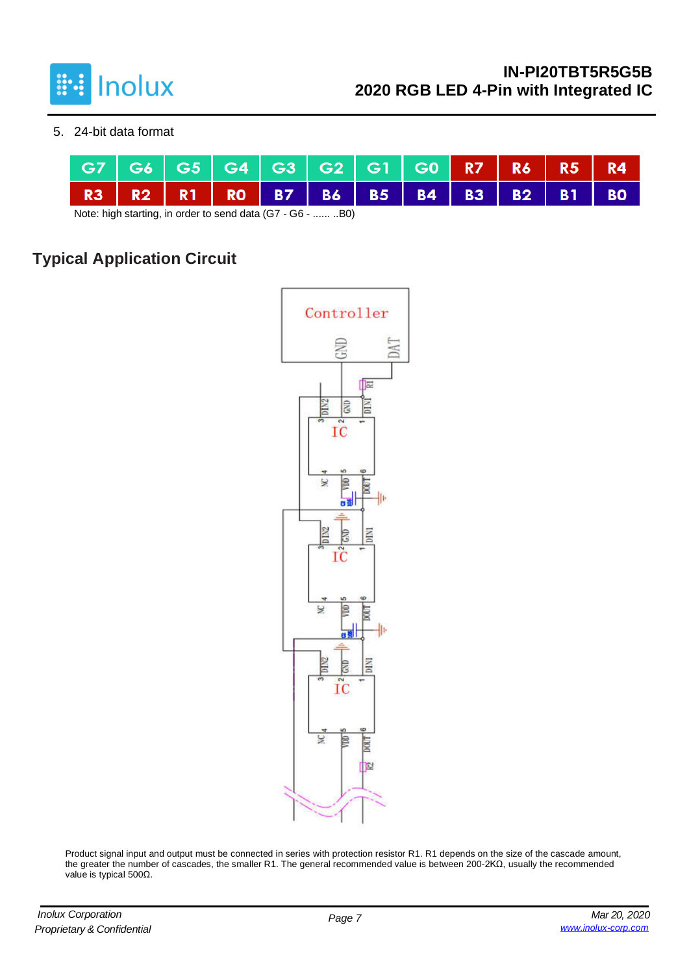

5. 24-bit data format



Note: high starting, in order to send data (G7 - G6 - ...... ..B0)

# **Typical Application Circuit**



Product signal input and output must be connected in series with protection resistor R1. R1 depends on the size of the cascade amount, the greater the number of cascades, the smaller R1. The general recommended value is between 200-2KΩ, usually the recommended value is typical 500Ω.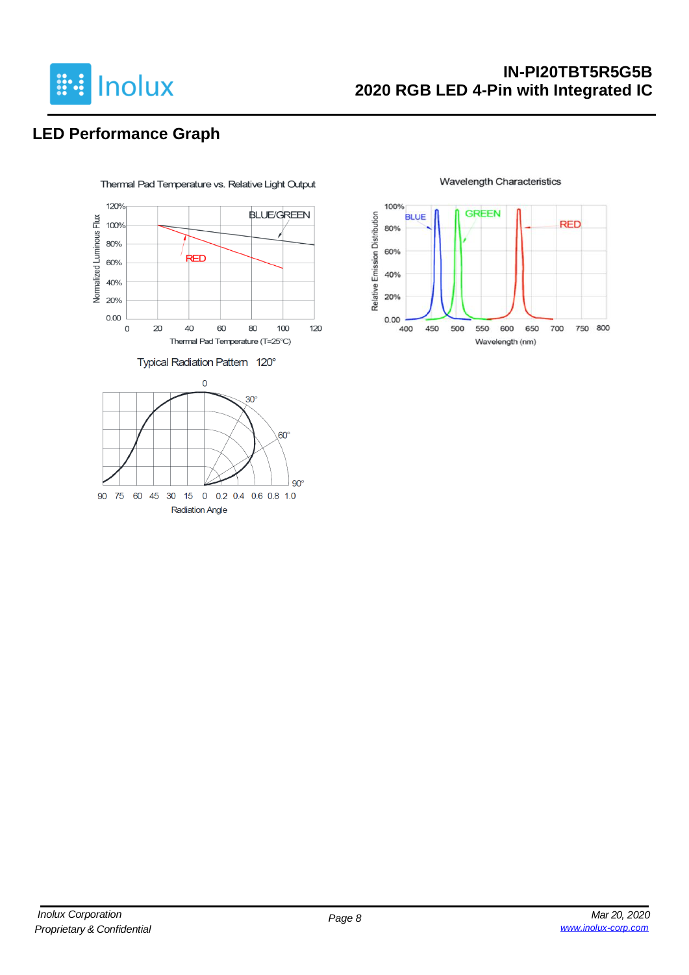

### **IN-PI20TBT5R5G5B 2020 RGB LED 4-Pin with Integrated IC**

# **LED Performance Graph**



**Wavelength Characteristics** 

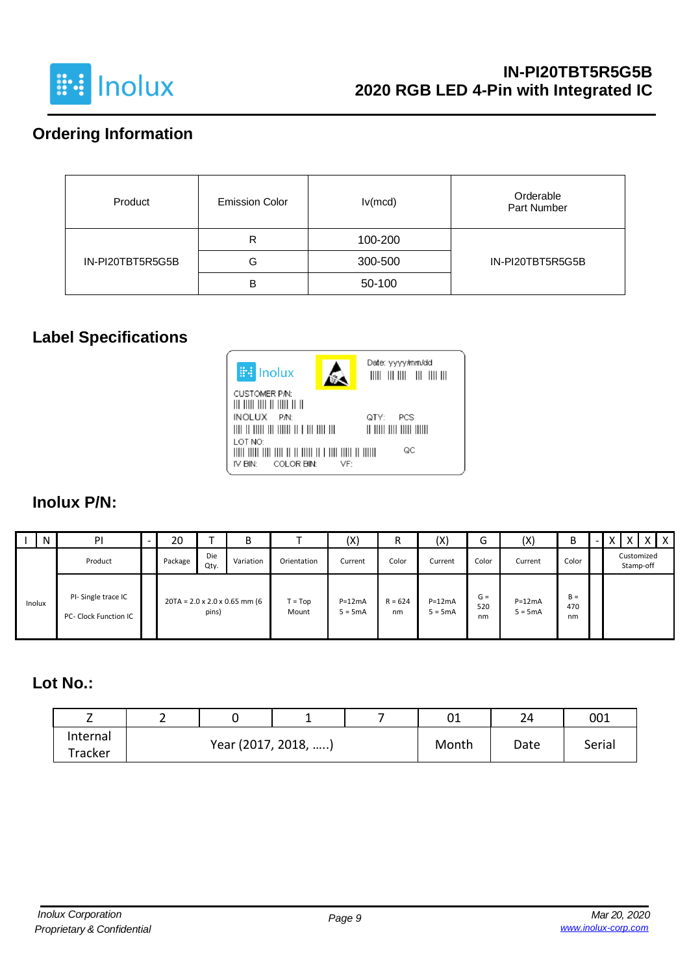

## **Ordering Information**

| Product          | <b>Emission Color</b> | lv(mcd) | Orderable<br>Part Number |
|------------------|-----------------------|---------|--------------------------|
|                  | R                     | 100-200 |                          |
| IN-PI20TBT5R5G5B | G                     | 300-500 | IN-PI20TBT5R5G5B         |
|                  | в                     | 50-100  |                          |

#### **Label Specifications**



#### **Inolux P/N:**

|        | N | PI                                          | ۰ | 20      |             | B                                         |                    | (X)                   | R               | (X)                   | ∽<br>G             | (X)                   | В                  | $\overline{\phantom{0}}$ |                         | $X$   $X$ |
|--------|---|---------------------------------------------|---|---------|-------------|-------------------------------------------|--------------------|-----------------------|-----------------|-----------------------|--------------------|-----------------------|--------------------|--------------------------|-------------------------|-----------|
|        |   | Product                                     |   | Package | Die<br>Qty. | Variation                                 | Orientation        | Current               | Color           | Current               | Color              | Current               | Color              |                          | Customized<br>Stamp-off |           |
| Inolux |   | PI-Single trace IC<br>PC- Clock Function IC |   |         | pins)       | $20TA = 2.0 \times 2.0 \times 0.65$ mm (6 | $T = Top$<br>Mount | $P=12mA$<br>$5 = 5mA$ | $R = 624$<br>nm | $P=12mA$<br>$5 = 5mA$ | $G =$<br>520<br>nm | $P=12mA$<br>$5 = 5mA$ | $B =$<br>470<br>nm |                          |                         |           |

## **Lot No.:**

| -        |  |  |                     |  |       | 01   | 24     | 001 |
|----------|--|--|---------------------|--|-------|------|--------|-----|
| Internal |  |  | Year (2017, 2018, ) |  | Month | Date | Serial |     |
| Tracker  |  |  |                     |  |       |      |        |     |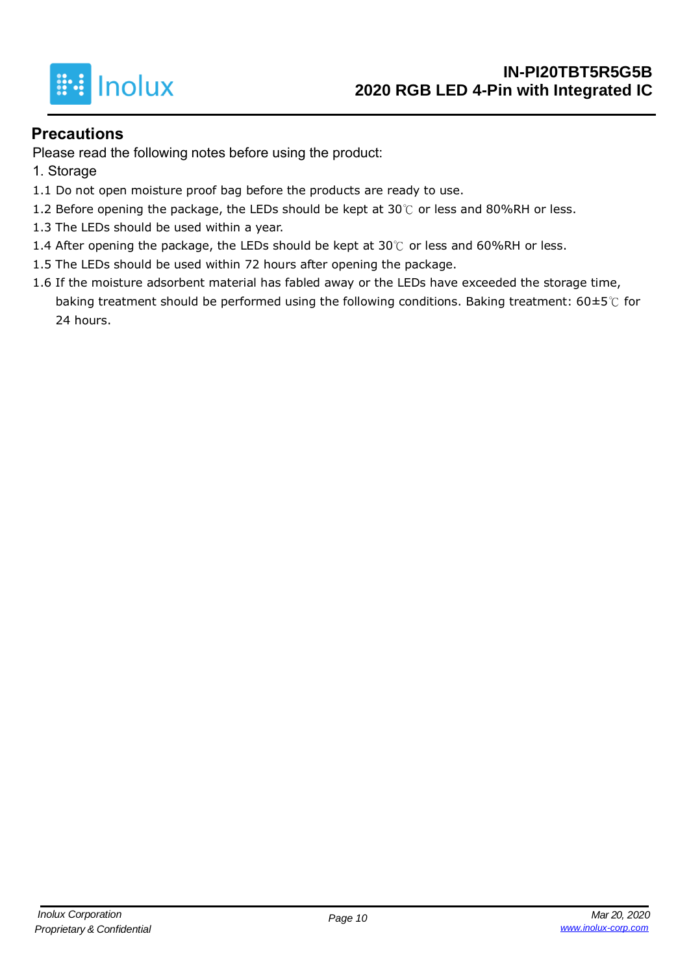

#### **Precautions**

Please read the following notes before using the product:

- 1. Storage
- 1.1 Do not open moisture proof bag before the products are ready to use.
- 1.2 Before opening the package, the LEDs should be kept at  $30^{\circ}$  or less and 80%RH or less.
- 1.3 The LEDs should be used within a year.
- 1.4 After opening the package, the LEDs should be kept at 30℃ or less and 60%RH or less.
- 1.5 The LEDs should be used within 72 hours after opening the package.
- 1.6 If the moisture adsorbent material has fabled away or the LEDs have exceeded the storage time, baking treatment should be performed using the following conditions. Baking treatment: 60±5℃ for 24 hours.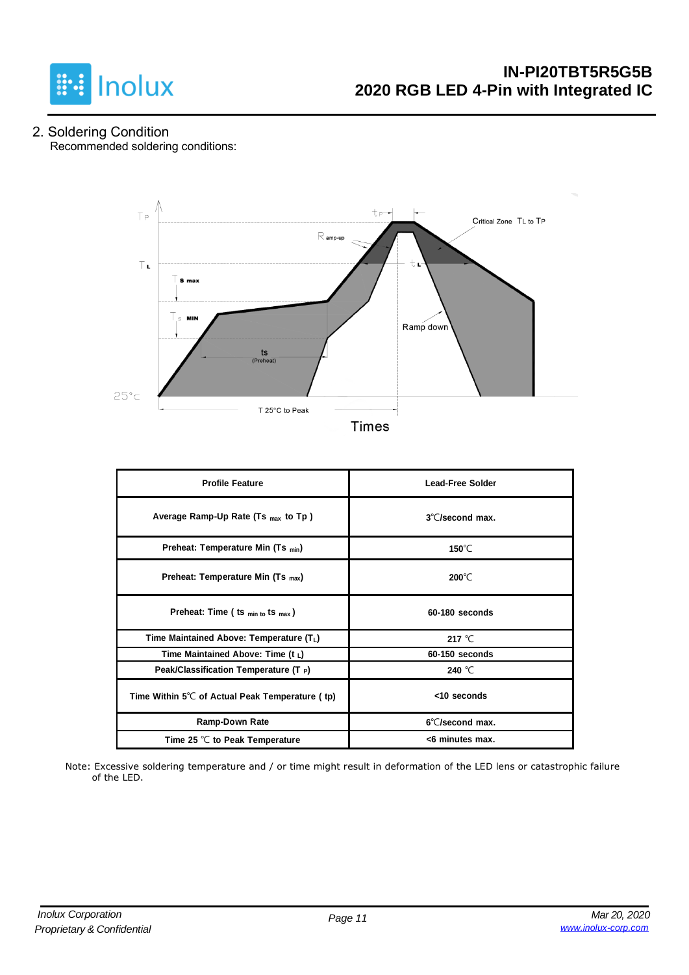

2. Soldering Condition Recommended soldering conditions:



|  | Times |  |  |
|--|-------|--|--|
|  |       |  |  |

| <b>Profile Feature</b>                          | <b>Lead-Free Solder</b>   |
|-------------------------------------------------|---------------------------|
| Average Ramp-Up Rate (Ts max to Tp)             | $3^{\circ}$ C/second max. |
| Preheat: Temperature Min (Ts <sub>min</sub> )   | 150 $\degree$ C           |
| Preheat: Temperature Min (Ts $_{max}$ )         | $200^{\circ}$ C           |
| Preheat: Time ( ts $_{min\ to}$ ts $_{max}$ )   | 60-180 seconds            |
| Time Maintained Above: Temperature (TL)         | 217 $^{\circ}$ C          |
| Time Maintained Above: Time $(t_1)$             | 60-150 seconds            |
| Peak/Classification Temperature (T $_{\rm P}$ ) | 240 $^{\circ}$ C          |
| Time Within 5℃ of Actual Peak Temperature (tp)  | <10 seconds               |
| Ramp-Down Rate                                  | 6°C/second max.           |
| Time 25 $\degree$ C to Peak Temperature         | <6 minutes max.           |

Note: Excessive soldering temperature and / or time might result in deformation of the LED lens or catastrophic failure of the LED.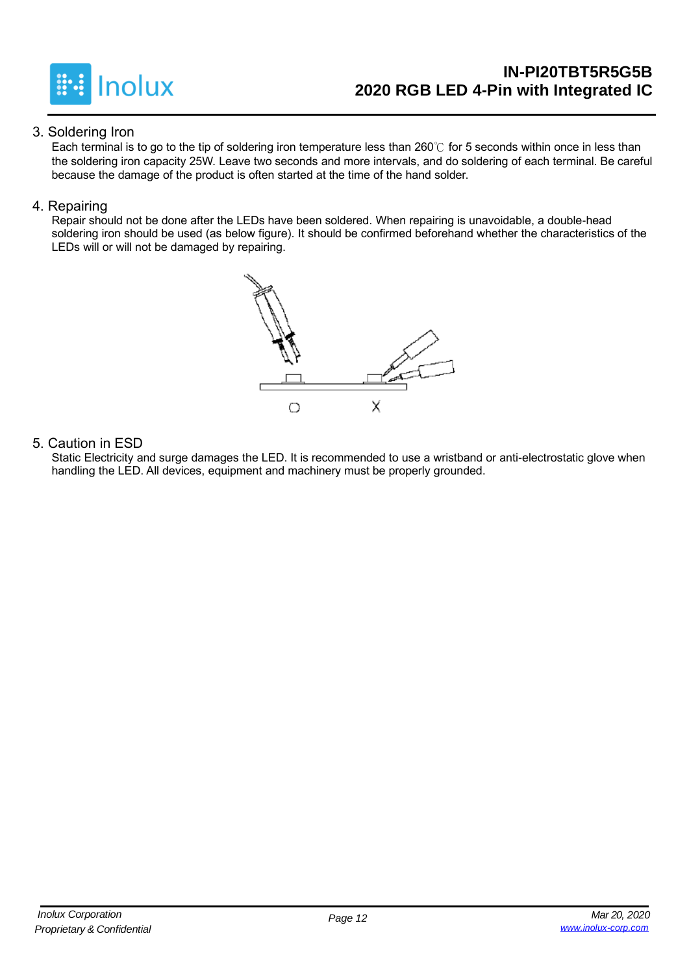

### **IN-PI20TBT5R5G5B 2020 RGB LED 4-Pin with Integrated IC**

#### 3. Soldering Iron

Each terminal is to go to the tip of soldering iron temperature less than 260℃ for 5 seconds within once in less than the soldering iron capacity 25W. Leave two seconds and more intervals, and do soldering of each terminal. Be careful because the damage of the product is often started at the time of the hand solder.

#### 4. Repairing

Repair should not be done after the LEDs have been soldered. When repairing is unavoidable, a double-head soldering iron should be used (as below figure). It should be confirmed beforehand whether the characteristics of the LEDs will or will not be damaged by repairing.



#### 5. Caution in ESD

Static Electricity and surge damages the LED. It is recommended to use a wristband or anti-electrostatic glove when handling the LED. All devices, equipment and machinery must be properly grounded.